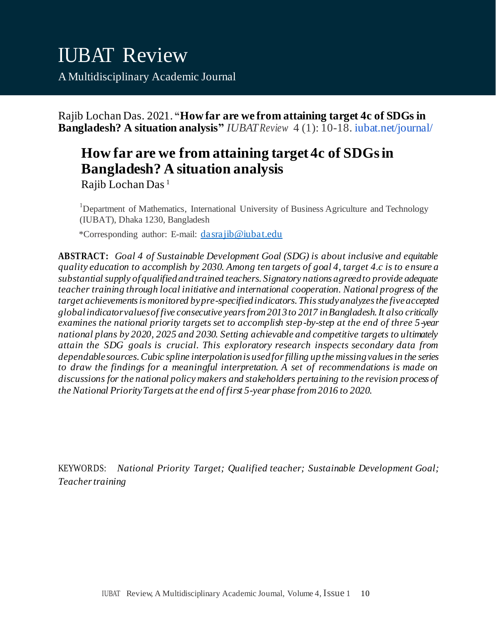Rajib Lochan Das. 2021. **"How far are we from attaining target 4c of SDGs in Bangladesh? A situation analysis"** *IUBATReview* 4 (1): 10-18. iubat.net/journal/

# **How far are we from attaining target 4c of SDGs in Bangladesh? A situation analysis**

Rajib Lochan Das<sup>1</sup>

<sup>1</sup>Department of Mathematics, International University of Business Agriculture and Technology (IUBAT), Dhaka 1230, Bangladesh

\*Corresponding author: E-mail: [dasrajib@iubat.edu](mailto:dasrajib@iubat.edu)

**ABSTRACT:** *Goal 4 of Sustainable Development Goal (SDG) is about inclusive and equitable quality education to accomplish by 2030. Among ten targets of goal 4, target 4.c is to ensure a substantial supply of qualified and trained teachers. Signatory nations agreed to provide adequate teacher training through local initiative and international cooperation. National progress of the target achievements is monitored by pre-specified indicators. This study analyzes the five accepted global indicator values of five consecutive years from 2013 to 2017 in Bangladesh. It also critically examines the national priority targets set to accomplish step-by-step at the end of three 5-year national plans by 2020, 2025 and 2030. Setting achievable and competitive targets to ultimately attain the SDG goals is crucial. This exploratory research inspects secondary data from dependable sources. Cubic spline interpolation is used for filling up the missing values in the series to draw the findings for a meaningful interpretation. A set of recommendations is made on discussions for the national policy makers and stakeholders pertaining to the revision process of the National Priority Targets at the end of first 5-year phase from 2016 to 2020.*

KEYWORDS: *National Priority Target; Qualified teacher; Sustainable Development Goal; Teacher training*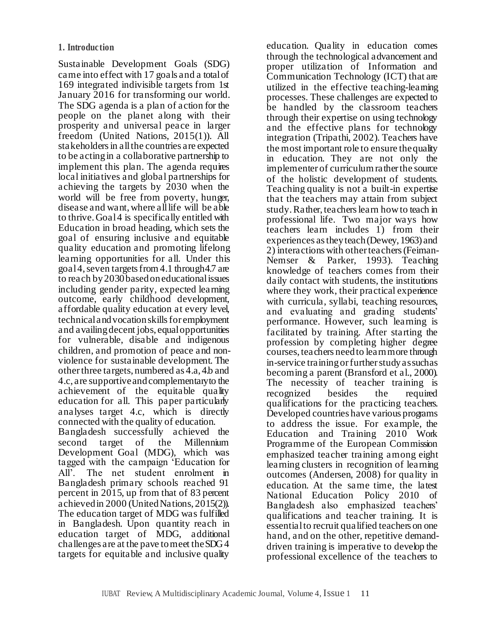Sustainable Development Goals (SDG) came into effect with 17 goals and a total of 169 integrated indivisible targets from 1st January 2016 for transforming our world. The SDG agenda is a plan of action for the people on the planet along with their prosperity and universal peace in larger freedom (United Nations, 2015(1)). All stakeholders in all the countries are expected to be acting in a collaborative partnership to implement this plan. The agenda requires local initiatives and global partnerships for achieving the targets by 2030 when the world will be free from poverty, hunger, disease and want, where all life will be able to thrive. Goal 4 is specifically entitled with Education in broad heading, which sets the goal of ensuring inclusive and equitable quality education and promoting lifelong learning opportunities for all. Under this goal 4, seven targets from 4.1 through 4.7 are to reach by 2030 based on educational issues including gender parity, expected learning outcome, early childhood development, affordable quality education at every level, technical and vocation skills for employment and availing decent jobs, equal opportunities for vulnerable, disable and indigenous children, and promotion of peace and nonviolence for sustainable development. The other three targets, numbered as 4.a, 4.b and 4.c, are supportive and complementary to the achievement of the equitable quality education for all. This paper particularly analyses target 4.c, which is directly connected with the quality of education. Bangladesh successfully achieved the second target of the Millennium Development Goal (MDG), which was tagged with the campaign 'Education for All'. The net student enrolment in Bangladesh primary schools reached 91 percent in 2015, up from that of 83 percent achieved in 2000 (United Nations, 2015(2)). The education target of MDG was fulfilled in Bangladesh. Upon quantity reach in education target of MDG, additional challenges are at the pave to meet the SDG 4 targets for equitable and inclusive quality

education. Quality in education comes through the technological advancement and proper utilization of Information and Communication Technology (ICT) that are utilized in the effective teaching-learning processes. These challenges are expected to be handled by the classroom teachers through their expertise on using technology and the effective plans for technology integration (Tripathi, 2002). Teachers have the most important role to ensure the quality in education. They are not only the implementer of curriculum rather the source of the holistic development of students. Teaching quality is not a built-in expertise that the teachers may attain from subject study. Rather, teachers learn how to teach in professional life. Two major ways how teachers learn includes 1) from their experiences as they teach (Dewey, 1963) and 2) interactions with other teachers (Feiman-Nemser & Parker, 1993). Teaching knowledge of teachers comes from their daily contact with students, the institutions where they work, their practical experience with curricula, syllabi, teaching resources, and evaluating and grading students' performance. However, such learning is facilitated by training. After starting the profession by completing higher degree courses, teachers need to learn more through in-service training or further study as such as becoming a parent (Bransford et al., 2000). The necessity of teacher training is recognized besides the required qualifications for the practicing teachers. Developed countries have various programs to address the issue. For example, the Education and Training 2010 Work Programme of the European Commission emphasized teacher training among eight learning clusters in recognition of learning outcomes (Andersen, 2008) for quality in education. At the same time, the latest National Education Policy 2010 of Bangladesh also emphasized teachers' qualifications and teacher training. It is essential to recruit qualified teachers on one hand, and on the other, repetitive demanddriven training is imperative to develop the professional excellence of the teachers to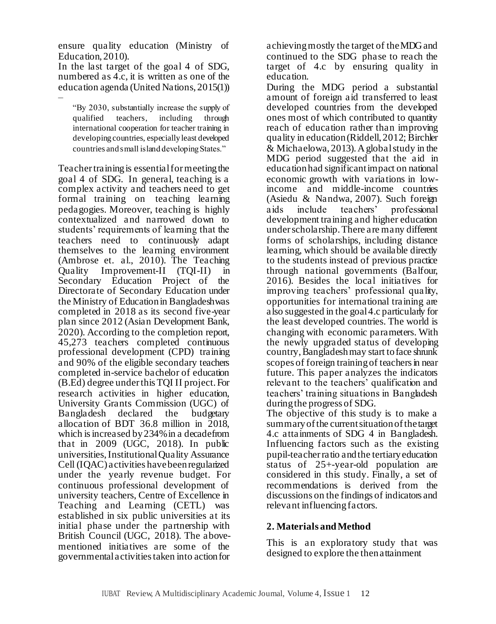ensure quality education (Ministry of Education, 2010).

In the last target of the goal 4 of SDG, numbered as 4.c, it is written as one of the education agenda (United Nations, 2015(1)) –

"By 2030, substantially increase the supply of qualified teachers, including through international cooperation for teacher training in developing countries, especially least developed countries and small island developing States."

Teacher training is essential for meeting the goal 4 of SDG. In general, teaching is a complex activity and teachers need to get formal training on teaching learning pedagogies. Moreover, teaching is highly contextualized and narrowed down to students' requirements of learning that the teachers need to continuously adapt themselves to the learning environment (Ambrose et. al., 2010). The Teaching Quality Improvement-II (TQI-II) in Secondary Education Project of the Directorate of Secondary Education under the Ministry of Education in Bangladesh was completed in 2018 as its second five-year plan since 2012 (Asian Development Bank, 2020). According to the completion report, 45,273 teachers completed continuous professional development (CPD) training and 90% of the eligible secondary teachers completed in-service bachelor of education (B.Ed) degree under this TQI II project. For research activities in higher education, University Grants Commission (UGC) of Bangladesh declared the budgetary allocation of BDT 36.8 million in 2018, which is increased by 234% in a decade from that in 2009 (UGC, 2018). In public universities, Institutional Quality Assurance Cell (IQAC) activities have been regularized under the yearly revenue budget. For continuous professional development of university teachers, Centre of Excellence in Teaching and Learning (CETL) was established in six public universities at its initial phase under the partnership with British Council (UGC, 2018). The abovementioned initiatives are some of the governmental activities taken into action for

achieving mostly the target of the MDG and continued to the SDG phase to reach the target of 4.c by ensuring quality in education.

During the MDG period a substantial amount of foreign aid transferred to least developed countries from the developed ones most of which contributed to quantity reach of education rather than improving quality in education (Riddell, 2012; Birchler & Michaelowa, 2013). A global study in the MDG period suggested that the aid in education had significant impact on national economic growth with variations in lowincome and middle-income countries (Asiedu & Nandwa, 2007). Such foreign aids include teachers' professional development training and higher education under scholarship. There are many different forms of scholarships, including distance learning, which should be available directly to the students instead of previous practice through national governments (Balfour, 2016). Besides the local initiatives for improving teachers' professional quality, opportunities for international training are also suggested in the goal 4.c particularly for the least developed countries. The world is changing with economic parameters. With the newly upgraded status of developing country, Bangladesh may start to face shrunk scopes of foreign training of teachers in near future. This paper analyzes the indicators relevant to the teachers' qualification and teachers' training situations in Bangladesh during the progress of SDG.

The objective of this study is to make a summary of the current situation of the target 4.c attainments of SDG 4 in Bangladesh. Influencing factors such as the existing pupil-teacher ratio and the tertiary education status of 25+-year-old population are considered in this study. Finally, a set of recommendations is derived from the discussions on the findings of indicators and relevant influencing factors.

## **2. Materials and Method**

This is an exploratory study that was designed to explore the then attainment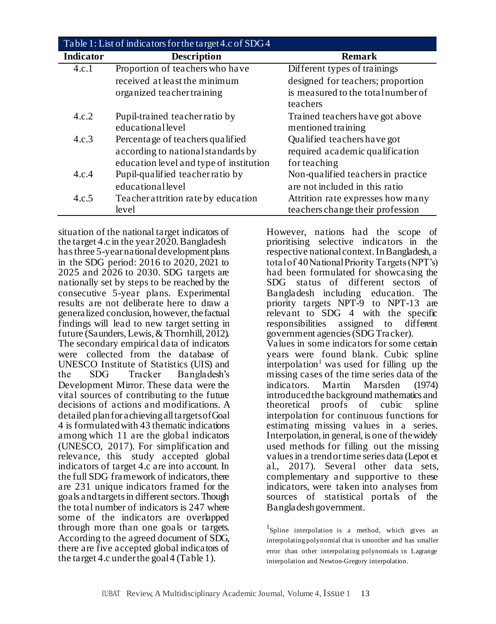| Table 1: List of indicators for the target 4.c of SDG 4 |                                         |                                     |  |  |
|---------------------------------------------------------|-----------------------------------------|-------------------------------------|--|--|
| <b>Indicator</b>                                        | <b>Description</b>                      | <b>Remark</b>                       |  |  |
| 4.c.1                                                   | Proportion of teachers who have         | Different types of trainings        |  |  |
|                                                         | received at least the minimum           | designed for teachers; proportion   |  |  |
|                                                         | organized teacher training              | is measured to the total number of  |  |  |
|                                                         |                                         | teachers                            |  |  |
| 4.c.2                                                   | Pupil-trained teacher ratio by          | Trained teachers have got above     |  |  |
|                                                         | educationallevel                        | mentioned training                  |  |  |
| 4.c.3                                                   | Percentage of teachers qualified        | Qualified teachers have got         |  |  |
|                                                         | according to national standards by      | required academic qualification     |  |  |
|                                                         | education level and type of institution | for teaching                        |  |  |
| 4.c.4                                                   | Pupil-qualified teacherratio by         | Non-qualified teachers in practice. |  |  |
|                                                         | educationallevel                        | are not included in this ratio      |  |  |
| 4.c.5                                                   | Teacher attrition rate by education     | Attrition rate expresses how many   |  |  |
|                                                         | level                                   | teachers change their profession    |  |  |

situation of the national target indicators of the target 4.c in the year 2020. Bangladesh has three 5-year national development plans in the SDG period: 2016 to 2020, 2021 to 2025 and 2026 to 2030. SDG targets are nationally set by steps to be reached by the consecutive 5-year plans. Experimental results are not deliberate here to draw a generalized conclusion, however, the factual findings will lead to new target setting in future (Saunders, Lewis, & Thornhill, 2012). The secondary empirical data of indicators were collected from the database of UNESCO Institute of Statistics (UIS) and the SDG Tracker Bangladesh's Development Mirror. These data were the vital sources of contributing to the future decisions of actions and modifications. A detailed plan for achieving all targets of Goal 4 is formulated with 43 thematic indications among which 11 are the global indicators (UNESCO, 2017). For simplification and relevance, this study accepted global indicators of target 4.c are into account. In the full SDG framework of indicators, there are 231 unique indicators framed for the goals and targets in different sectors. Though the total number of indicators is 247 where some of the indicators are overlapped through more than one goals or targets. According to the agreed document of SDG, there are five accepted global indicators of the target 4.c under the goal 4 (Table 1).

However, nations had the scope of prioritising selective indicators in the respective national context. In Bangladesh, a total of 40 National Priority Targets (NPT's) had been formulated for showcasing the SDG status of different sectors of Bangladesh including education. The priority targets NPT-9 to NPT-13 are relevant to SDG 4 with the specific responsibilities assigned to different government agencies (SDG Tracker). Values in some indicators for some certain years were found blank. Cubic spline  $interpolation<sup>1</sup>$  was used for filling up the missing cases of the time series data of the indicators. Martin Marsden (1974) introduced the background mathematics and theoretical proofs of cubic spline interpolation for continuous functions for estimating missing values in a series. Interpolation, in general, is one of the widely used methods for filling out the missing values in a trend or time series data (Lepot et al., 2017). Several other data sets, complementary and supportive to these indicators, were taken into analyses from sources of statistical portals of the Bangladesh government.

<sup>1</sup>Spline interpolation is a method, which gives an interpolating polynomial that is smoother and has smaller error than other interpolating polynomials in Lagrange interpolation and Newton-Gregory interpolation.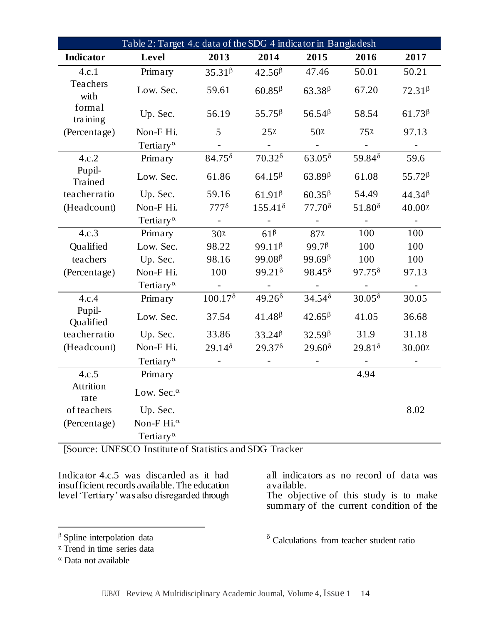| Table 2: Target 4.c data of the SDG 4 indicator in Bangladesh |                                         |                                        |                                        |                                        |                                        |                    |
|---------------------------------------------------------------|-----------------------------------------|----------------------------------------|----------------------------------------|----------------------------------------|----------------------------------------|--------------------|
| Indicator                                                     | Level                                   | 2013                                   | 2014                                   | 2015                                   | 2016                                   | 2017               |
| 4.c.1                                                         | Primary                                 | $35.31\beta$                           | 42.56 <sup>β</sup>                     | 47.46                                  | 50.01                                  | 50.21              |
| Teachers<br>with                                              | Low. Sec.                               | 59.61                                  | $60.85\beta$                           | $63.38\beta$                           | 67.20                                  | $72.31\beta$       |
| formal<br>training                                            | Up. Sec.                                | 56.19                                  | $55.75^{\beta}$                        | 56.54 <sup>β</sup>                     | 58.54                                  | 61.73 <sup>β</sup> |
| (Percentage)                                                  | Non-F Hi.                               | 5                                      | 25x                                    | $50\chi$                               | 75x                                    | 97.13              |
|                                                               | Tertiary <sup><math>\alpha</math></sup> |                                        |                                        |                                        |                                        |                    |
| 4.c.2                                                         | Primary                                 | $84.75^{\delta}$                       | $70.32$ <sup><math>\delta</math></sup> | $63.05^{\delta}$                       | 59.84 $\delta$                         | 59.6               |
| Pupil-<br>Trained                                             | Low. Sec.                               | 61.86                                  | $64.15\beta$                           | $63.89\beta$                           | 61.08                                  | 55.72 <sup>β</sup> |
| teacherratio                                                  | Up. Sec.                                | 59.16                                  | $61.91\beta$                           | $60.35\beta$                           | 54.49                                  | $44.34\beta$       |
| (Headcount)                                                   | Non-F Hi.                               | $777$ <sup><math>\delta</math></sup>   | $155.41^{\delta}$                      | $77.70^8$                              | $51.80^8$                              | 40.00 <sup>x</sup> |
|                                                               | Tertiary <sup><math>\alpha</math></sup> |                                        |                                        |                                        |                                        |                    |
| 4.c.3                                                         | Primary                                 | $30\chi$                               | $61^{\beta}$                           | 87x                                    | 100                                    | 100                |
| Qualified                                                     | Low. Sec.                               | 98.22                                  | $99.11\beta$                           | 99.7 <sup>β</sup>                      | 100                                    | 100                |
| teachers                                                      | Up. Sec.                                | 98.16                                  | $99.08\beta$                           | 99.69 <sup><math>\beta</math></sup>    | 100                                    | 100                |
| (Percentage)                                                  | Non-F Hi.                               | 100                                    | $99.21$ <sup><math>\delta</math></sup> | $98.45^{\delta}$                       | $97.75$ <sup><math>\delta</math></sup> | 97.13              |
|                                                               | Tertiary <sup><math>\alpha</math></sup> |                                        |                                        |                                        |                                        |                    |
| 4.c.4                                                         | Primary                                 | 100.17 <sup>8</sup>                    | 49.26 <sup>8</sup>                     | $34.54$ <sup><math>\delta</math></sup> | $30.05^{\delta}$                       | 30.05              |
| Pupil-<br>Qualified                                           | Low. Sec.                               | 37.54                                  | $41.48\beta$                           | $42.65^{\beta}$                        | 41.05                                  | 36.68              |
| teacherratio                                                  | Up. Sec.                                | 33.86                                  | 33.24 <sup>β</sup>                     | $32.59\beta$                           | 31.9                                   | 31.18              |
| (Headcount)                                                   | Non-F Hi.                               | $29.14$ <sup><math>\delta</math></sup> | $29.37$ <sup><math>\delta</math></sup> | $29.60^8$                              | $29.81^{\delta}$                       | 30.00x             |
|                                                               | Tertiary <sup><math>\alpha</math></sup> |                                        |                                        |                                        | $\sim$                                 |                    |
| 4.c.5                                                         | Primary                                 |                                        |                                        |                                        | 4.94                                   |                    |
| Attrition<br>rate                                             | Low. Sec. $\alpha$                      |                                        |                                        |                                        |                                        |                    |
| of teachers                                                   | Up. Sec.                                |                                        |                                        |                                        |                                        | 8.02               |
| (Percentage)                                                  | Non-F Hi. <sup>a</sup>                  |                                        |                                        |                                        |                                        |                    |
|                                                               | Tertiary <sup><math>\alpha</math></sup> |                                        |                                        |                                        |                                        |                    |

[Source: UNESCO Institute of Statistics and SDG Tracker

Indicator 4.c.5 was discarded as it had insufficient records available. The education level 'Tertiary' was also disregarded through all indicators as no record of data was available.

The objective of this study is to make summary of the current condition of the

 $\delta$  Calculations from teacher student ratio

# $\beta$  Spline interpolation data

 $x$  Trend in time series data

 $\alpha$  Data not available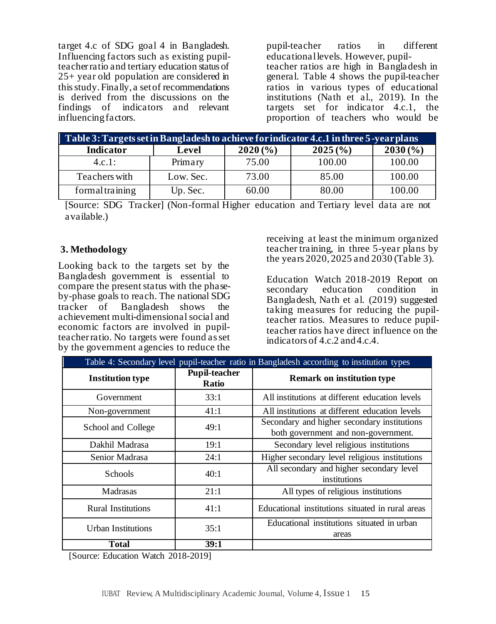target 4.c of SDG goal 4 in Bangladesh. Influencing factors such as existing pupilteacher ratio and tertiary education status of 25+ year old population are considered in this study. Finally, a set of recommendations is derived from the discussions on the findings of indicators and relevant influencing factors.

pupil-teacher ratios in different educational levels. However, pupilteacher ratios are high in Bangladesh in general. Table 4 shows the pupil-teacher ratios in various types of educational institutions (Nath et al., 2019). In the targets set for indicator 4.c.1, the proportion of teachers who would be

| Table 3: Targets set in Bangladesh to achieve for indicator 4.c.1 in three 5-year plans |           |             |             |         |  |  |
|-----------------------------------------------------------------------------------------|-----------|-------------|-------------|---------|--|--|
| Indicator                                                                               | Level     | $2020\,(%)$ | $2025\,(%)$ | 2030(%) |  |  |
| 4.c.1:                                                                                  | Primary   | 75.00       | 100.00      | 100.00  |  |  |
| Teachers with                                                                           | Low. Sec. | 73.00       | 85.00       | 100.00  |  |  |
| formal training                                                                         | Up. Sec.  | 60.00       | 80.00       | 100.00  |  |  |

[Source: SDG Tracker] (Non-formal Higher education and Tertiary level data are not available.)

#### **3. Methodology**

Looking back to the targets set by the Bangladesh government is essential to compare the present status with the phaseby-phase goals to reach. The national SDG tracker of Bangladesh shows the achievement multi-dimensional social and economic factors are involved in pupilteacher ratio. No targets were found as set by the government agencies to reduce the

receiving at least the minimum organized teacher training, in three 5-year plans by the years 2020, 2025 and 2030 (Table 3).

Education Watch 2018-2019 Report on secondary education condition in Bangladesh, Nath et al. (2019) suggested taking measures for reducing the pupilteacher ratios. Measures to reduce pupilteacher ratios have direct influence on the indicators of 4.c.2 and 4.c.4.

| Table 4: Secondary level pupil-teacher ratio in Bangladesh according to institution types |                                      |                                                                                    |  |  |
|-------------------------------------------------------------------------------------------|--------------------------------------|------------------------------------------------------------------------------------|--|--|
| <b>Institution type</b>                                                                   | <b>Pupil-teacher</b><br><b>Ratio</b> | <b>Remark on institution type</b>                                                  |  |  |
| Government                                                                                | 33:1                                 | All institutions at different education levels                                     |  |  |
| Non-government                                                                            | 41:1                                 | All institutions at different education levels                                     |  |  |
| School and College                                                                        | 49:1                                 | Secondary and higher secondary institutions<br>both government and non-government. |  |  |
| Dakhil Madrasa                                                                            | 19:1                                 | Secondary level religious institutions                                             |  |  |
| Senior Madrasa                                                                            | 24:1                                 | Higher secondary level religious institutions                                      |  |  |
| <b>Schools</b>                                                                            | 40:1                                 | All secondary and higher secondary level<br>institutions                           |  |  |
| Madrasas                                                                                  | 21:1                                 | All types of religious institutions                                                |  |  |
| <b>Rural Institutions</b>                                                                 | 41:1                                 | Educational institutions situated in rural areas                                   |  |  |
| Urban Institutions                                                                        | 35:1                                 | Educational institutions situated in urban<br>areas                                |  |  |
| Total                                                                                     | 39:1                                 |                                                                                    |  |  |

[Source: Education Watch 2018-2019]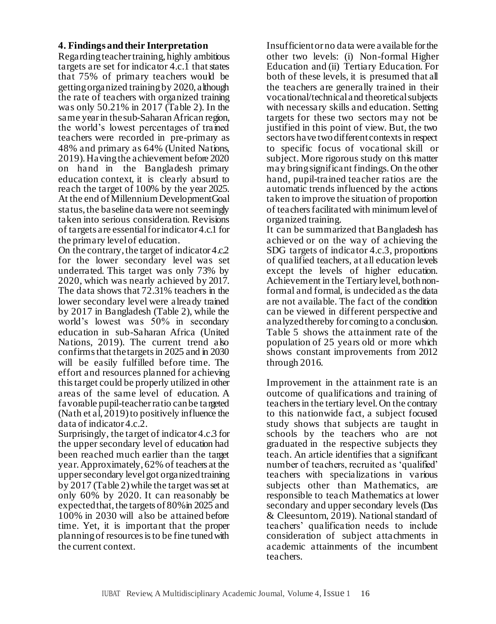#### **4. Findings and their Interpretation**

Regarding teacher training, highly ambitious targets are set for indicator 4.c.1 that states that 75% of primary teachers would be getting organized training by 2020, although the rate of teachers with organized training was only 50.21% in 2017 (Table 2). In the same year in the sub-Saharan African region, the world's lowest percentages of trained teachers were recorded in pre-primary as 48% and primary as 64% (United Nations, 2019). Having the achievement before 2020 on hand in the Bangladesh primary education context, it is clearly absurd to reach the target of 100% by the year 2025. At the end of Millennium Development Goal status, the baseline data were not seemingly taken into serious consideration. Revisions of targets are essential for indicator 4.c.1 for the primary level of education.

On the contrary, the target of indicator 4.c.2 for the lower secondary level was set underrated. This target was only 73% by 2020, which was nearly achieved by 2017. The data shows that 72.31% teachers in the lower secondary level were already trained by 2017 in Bangladesh (Table 2), while the world's lowest was 50% in secondary education in sub-Saharan Africa (United Nations, 2019). The current trend also confirms that the targets in 2025 and in 2030 will be easily fulfilled before time. The effort and resources planned for achieving this target could be properly utilized in other areas of the same level of education. A favorable pupil-teacher ratio can be targeted (Nath et al, 2019) to positively influence the data of indicator 4.c.2.

Surprisingly, the target of indicator 4.c.3 for the upper secondary level of education had been reached much earlier than the target year. Approximately, 62% of teachers at the upper secondary level got organized training by 2017 (Table 2) while the target was set at only 60% by 2020. It can reasonably be expected that, the targets of 80% in 2025 and 100% in 2030 will also be attained before time. Yet, it is important that the proper planning of resources is to be fine tuned with the current context.

Insufficient or no data were available for the other two levels: (i) Non-formal Higher Education and (ii) Tertiary Education. For both of these levels, it is presumed that all the teachers are generally trained in their vocational/technical and theoretical subjects with necessary skills and education. Setting targets for these two sectors may not be justified in this point of view. But, the two sectors have two different contexts in respect to specific focus of vocational skill or subject. More rigorous study on this matter may bring significant findings. On the other hand, pupil-trained teacher ratios are the automatic trends influenced by the actions taken to improve the situation of proportion of teachers facilitated with minimum level of organized training.

It can be summarized that Bangladesh has achieved or on the way of achieving the SDG targets of indicator 4.c.3, proportions of qualified teachers, at all education levels except the levels of higher education. Achievement in the Tertiary level, both nonformal and formal, is undecided as the data are not available. The fact of the condition can be viewed in different perspective and analyzed thereby for coming to a conclusion. Table 5 shows the attainment rate of the population of 25 years old or more which shows constant improvements from 2012 through 2016.

Improvement in the attainment rate is an outcome of qualifications and training of teachers in the tertiary level. On the contrary to this nationwide fact, a subject focused study shows that subjects are taught in schools by the teachers who are not graduated in the respective subjects they teach. An article identifies that a significant number of teachers, recruited as 'qualified' teachers with specializations in various subjects other than Mathematics, are responsible to teach Mathematics at lower secondary and upper secondary levels (Das & Cleesuntorn, 2019). National standard of teachers' qualification needs to include consideration of subject attachments in academic attainments of the incumbent teachers.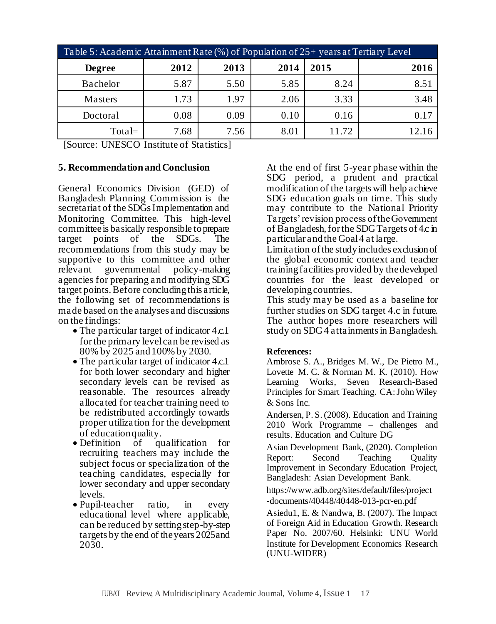| Table 5: Academic Attainment Rate (%) of Population of 25+ years at Tertiary Level |      |      |      |       |      |
|------------------------------------------------------------------------------------|------|------|------|-------|------|
| <b>Degree</b>                                                                      | 2012 | 2013 | 2014 | 2015  | 2016 |
| Bachelor                                                                           | 5.87 | 5.50 | 5.85 | 8.24  | 8.51 |
| Masters                                                                            | 1.73 | 1.97 | 2.06 | 3.33  | 3.48 |
| Doctoral                                                                           | 0.08 | 0.09 | 0.10 | 0.16  | 0.17 |
| $Total=$                                                                           | 7.68 | 7.56 | 8.01 | 11.72 |      |

[Source: UNESCO Institute of Statistics]

#### **5. Recommendation and Conclusion**

General Economics Division (GED) of Bangladesh Planning Commission is the secretariat of the SDGs Implementation and Monitoring Committee. This high-level committee is basically responsible to prepare target points of the SDGs. The recommendations from this study may be supportive to this committee and other relevant governmental policy-making agencies for preparing and modifying SDG target points. Before concluding this article, the following set of recommendations is made based on the analyses and discussions on the findings:

- The particular target of indicator 4.c.1 for the primary level can be revised as 80% by 2025 and 100% by 2030.
- The particular target of indicator 4.c.1 for both lower secondary and higher secondary levels can be revised as reasonable. The resources already allocated for teacher training need to be redistributed accordingly towards proper utilization for the development of education quality.
- Definition of qualification for recruiting teachers may include the subject focus or specialization of the teaching candidates, especially for lower secondary and upper secondary levels.
- Pupil-teacher ratio, in every educational level where applicable, can be reduced by setting step-by-step targets by the end of the years 2025 and 2030.

At the end of first 5-year phase within the SDG period, a prudent and practical modification of the targets will help achieve SDG education goals on time. This study may contribute to the National Priority Targets' revision process of the Government of Bangladesh, for the SDG Targets of 4.c in particular and the Goal 4 at large.

Limitation of the study includes exclusion of the global economic context and teacher training facilities provided by the developed countries for the least developed or developing countries.

This study may be used as a baseline for further studies on SDG target 4.c in future. The author hopes more researchers will study on SDG 4 attainments in Bangladesh.

## **References:**

Ambrose S. A., Bridges M. W., De Pietro M., Lovette M. C. & Norman M. K. (2010). How Learning Works, Seven Research-Based Principles for Smart Teaching. CA: John Wiley & Sons Inc.

Andersen, P. S. (2008). Education and Training 2010 Work Programme – challenges and results. Education and Culture DG

Asian Development Bank, (2020). Completion Report: Second Teaching Quality Improvement in Secondary Education Project, Bangladesh: Asian Development Bank.

https://www.adb.org/sites/default/files/project -documents/40448/40448-013-pcr-en.pdf

Asiedu1, E. & Nandwa, B. (2007). The Impact of Foreign Aid in Education Growth. Research Paper No. 2007/60. Helsinki: UNU World Institute for Development Economics Research (UNU-WIDER)